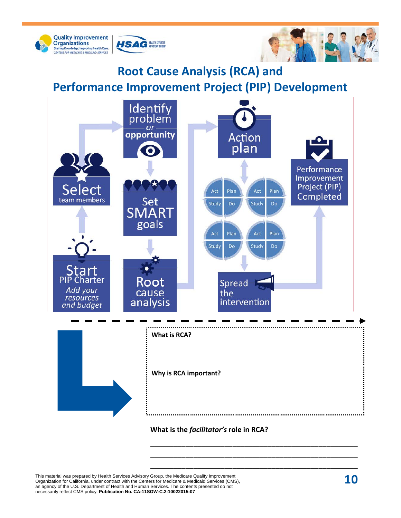

## **Root Cause Analysis (RCA) and Performance Improvement Project (PIP) Development**



\_\_\_\_\_\_\_\_\_\_\_\_\_\_\_\_\_\_\_\_\_\_\_\_\_\_\_\_\_\_\_\_\_\_\_\_\_\_\_\_\_\_\_\_\_\_\_\_\_\_\_\_\_ \_\_\_\_\_\_\_\_\_\_\_\_\_\_\_\_\_\_\_\_\_\_\_\_\_\_\_\_\_\_\_\_\_\_\_\_\_\_\_\_\_\_\_\_\_\_\_\_\_\_\_\_\_

This material was prepared by Health Services Advisory Group, the Medicare Quality Improvement Organization for California, under contract with the Centers for Medicare & Medicaid Services (CMS), an agency of the U.S. Department of Health and Human Services. The contents presented do not necessarily reflect CMS policy. **Publication No. CA-11SOW-C.2-10022015-07**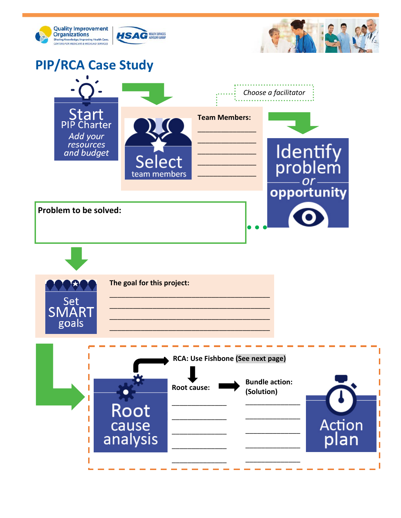